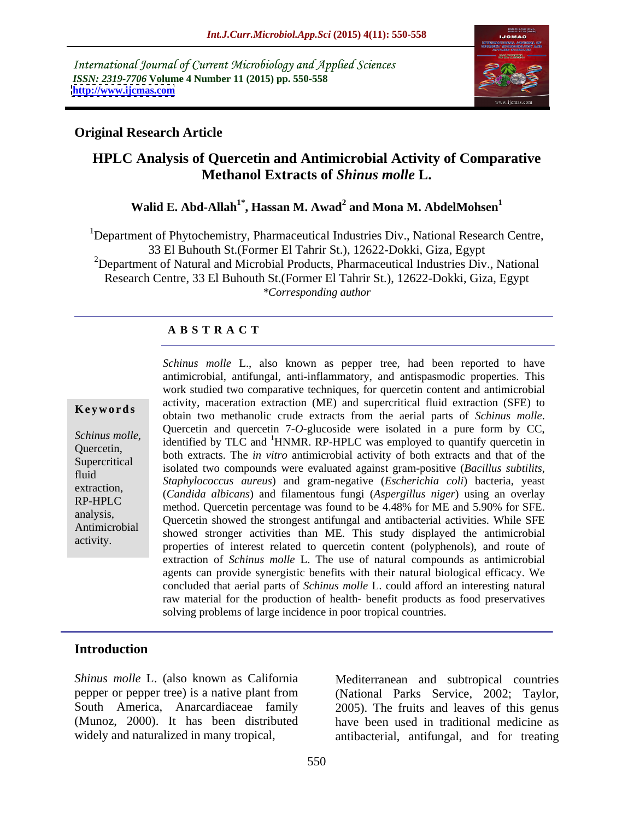International Journal of Current Microbiology and Applied Sciences *ISSN: 2319-7706* **Volume 4 Number 11 (2015) pp. 550-558 <http://www.ijcmas.com>**



## **Original Research Article**

# **HPLC Analysis of Quercetin and Antimicrobial Activity of Comparative Methanol Extracts of** *Shinus molle* **L.**

# **Walid E. Abd-Allah1\* , Hassan M. Awad<sup>2</sup> and Mona M. AbdelMohsen<sup>1</sup>**

<sup>1</sup>Department of Phytochemistry, Pharmaceutical Industries Div., National Research Centre, 33 El Buhouth St.(Former El Tahrir St.), 12622-Dokki, Giza, Egypt <sup>2</sup>Department of Natural and Microbial Products, Pharmaceutical Industries Div., National Research Centre, 33 El Buhouth St.(Former El Tahrir St.), 12622-Dokki, Giza, Egypt *\*Corresponding author*

### **A B S T R A C T**

activity.

*Schinus molle* L., also known as pepper tree, had been reported to have antimicrobial, antifungal, anti-inflammatory, and antispasmodic properties. This work studied two comparative techniques, for quercetin content and antimicrobial activity, maceration extraction (ME) and supercritical fluid extraction (SFE) to obtain two methanolic crude extracts from the aerial parts of *Schinus molle*. Quercetin and quercetin 7-*O*-glucoside were isolated in <sup>a</sup> pure form by CC, Schinus molle,<br>
dentified by TLC and <sup>1</sup>HNMR. RP-HPLC was employed to quantify quercetin in<br>
Quercetin,<br>
Subsets a very set of the settle of the settle of the settle and that of the both extracts. The *in vitro* antimicrobial activity of both extracts and that of the Supercritical isolated two compounds were evaluated against gram-positive (*Bacillus subtilits*, Supercritical fluid *Staphylococcus aureus*) and gram-negative (*Escherichia coli*) bacteria, yeast extraction,<br>
(*Candida albicans*) and filamentous fungi (*Aspergillus niger*) using an overlay method. Quercetin percentage was found to be 4.48% for ME and 5.90% for SFE. analysis,<br>Antimicrobial Quercetin showed the strongest antifungal and antibacterial activities. While SFE Antimicrobial showed stronger activities than ME. This study displayed the antimicrobial properties of interest related to quercetin content (polyphenols), and route of extraction of *Schinus molle* L. The use of natural compounds as antimicrobial agents can provide synergistic benefits with their natural biological efficacy. We concluded that aerial parts of *Schinus molle* L. could afford an interesting natural raw material for the production of health- benefit products as food preservatives solving problems of large incidence in poor tropical countries. **Keywords** detivity, inactiation extraction (ME) and supercritical ridio extraction (SPE) to obtain two methanolic crude extracts from the aerial parts of *Schinus molle*.

### **Introduction**

*Shinus molle* L. (also known as California (Munoz, 2000). It has been distributed

pepper or pepper tree) is a native plant from (National Parks Service, 2002; Taylor, South America, Anarcardiaceae family 2005). The fruits and leaves of this genus widely and naturalized in many tropical, antibacterial, antifungal, and for treating Mediterranean and subtropical countries have been used in traditional medicine as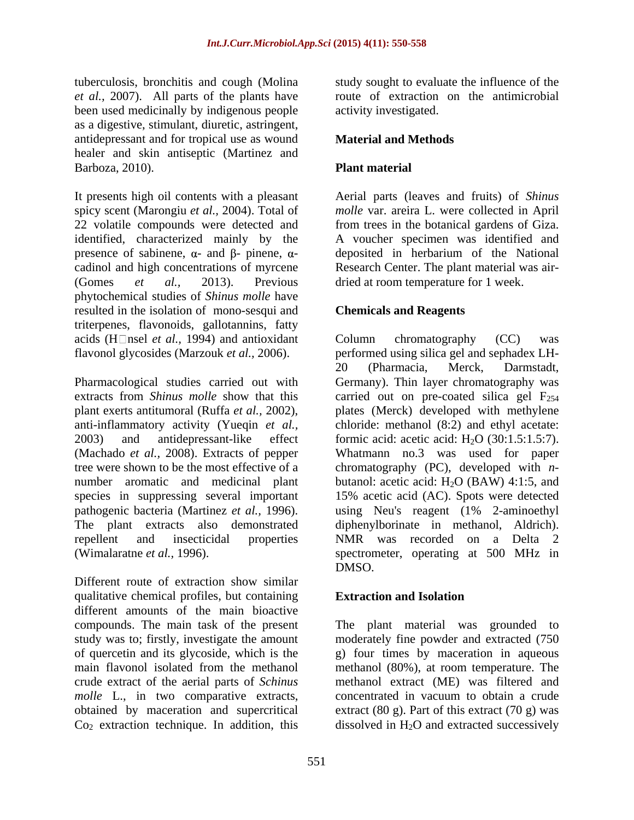tuberculosis, bronchitis and cough (Molina study sought to evaluate the influence of the *et al.,* 2007). All parts of the plants have been used medicinally by indigenous people as a digestive, stimulant, diuretic, astringent, antidepressant and for tropical use as wound healer and skin antiseptic (Martinez and Barboza, 2010). Plant material

It presents high oil contents with a pleasant Aerial parts (leaves and fruits) of *Shinus*  spicy scent (Marongiu *et al.,* 2004). Total of *molle* var. areira L. were collected in April 22 volatile compounds were detected and from trees in the botanical gardens of Giza. identified, characterized mainly by the presence of sabinene,  $\alpha$ - and  $\beta$ - pinene,  $\alpha$ cadinol and high concentrations of myrcene Research Center. The plant material was air- (Gomes *et al.,* 2013). Previous dried at room temperature for 1 week. phytochemical studies of *Shinus molle* have resulted in the isolation of mono-sesqui and triterpenes, flavonoids, gallotannins, fatty acids (H $\Box$ nsel *et al.*, 1994) and antioxidant Column chromatography (CC) was

tree were shown to be the most effective of a

Different route of extraction show similar qualitative chemical profiles, but containing different amounts of the main bioactive compounds. The main task of the present

route of extraction on the antimicrobial activity investigated.

### **Material and Methods**

### **Plant material**

A voucher specimen was identified and deposited in herbarium of the National

### **Chemicals and Reagents**

flavonol glycosides (Marzouk *et al.,* 2006). performed using silica gel and sephadex LH- Pharmacological studies carried out with Germany). Thin layer chromatography was extracts from *Shinus molle* show that this carried out on pre-coated silica gel F<sub>254</sub> plant exerts antitumoral (Ruffa *et al.,* 2002), plates (Merck) developed with methylene anti-inflammatory activity (Yueqin *et al.,* chloride: methanol (8:2) and ethyl acetate: 2003) and antidepressant-like effect formic acid: acetic acid: H2O (30:1.5:1.5:7). (Machado *et al.*, 2008). Extracts of pepper Whatmann no.3 was used for paper number aromatic and medicinal plant butanol: acetic acid:  $H_2O$  (BAW) 4:1:5, and species in suppressing several important 15% acetic acid (AC). Spots were detected pathogenic bacteria (Martinez *et al.,* 1996). using Neu's reagent (1% 2-aminoethyl The plant extracts also demonstrated diphenylborinate in methanol, Aldrich). repellent and insecticidal properties NMR was recorded on a Delta 2 (Wimalaratne *et al.,* 1996). spectrometer, operating at 500 MHz in Column chromatography (CC) was 20 (Pharmacia, Merck, Darmstadt, chromatography (PC), developed with *n-* DMSO.

### **Extraction and Isolation**

study was to; firstly, investigate the amount moderately fine powder and extracted (750 of quercetin and its glycoside, which is the g) four times by maceration in aqueous main flavonol isolated from the methanol methanol (80%), at room temperature. The crude extract of the aerial parts of *Schinus*  methanol extract (ME) was filtered and *molle* L., in two comparative extracts, concentrated in vacuum to obtain a crude obtained by maceration and supercritical extract (80 g). Part of this extract (70 g) was  $Co<sub>2</sub>$  extraction technique. In addition, this dissolved in  $H<sub>2</sub>O$  and extracted successively The plant material was grounded to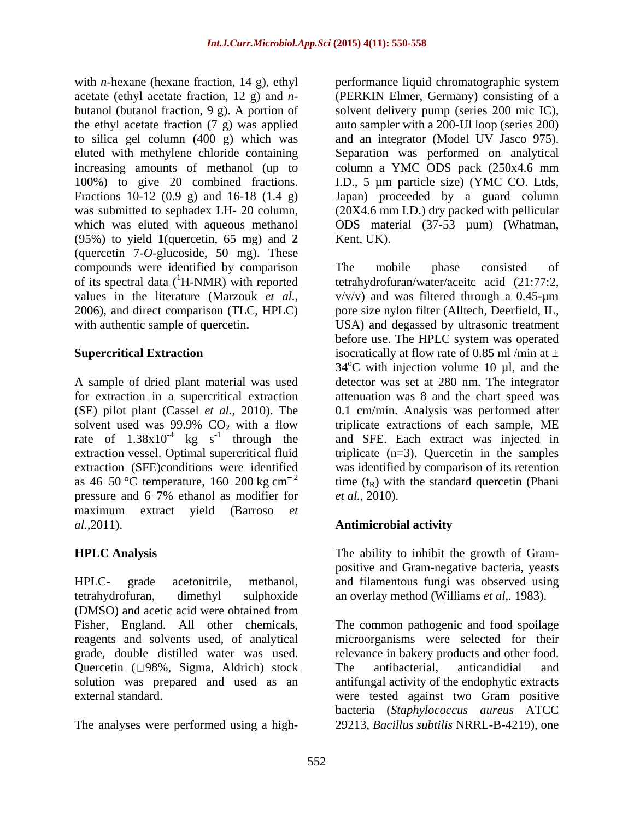butanol (butanol fraction, 9 g). A portion of the ethyl acetate fraction (7 g) was applied (95%) to yield **1**(quercetin, 65 mg) and **2** (quercetin 7-*O*-glucoside, 50 mg). These compounds were identified by comparison The mobile phase consisted of of its spectral data  $({}^{1}H\text{-NMR})$  with reported

pressure and 6–7% ethanol as modifier for *et al.*, 2010). maximum extract yield (Barroso *et al.,*2011). **Antimicrobial activity** 

HPLC- grade acetonitrile, methanol, and filamentous fungi was observed using tetrahydrofuran, dimethyl sulphoxide an overlay method (Williams *et al,.* 1983). (DMSO) and acetic acid were obtained from Quercetin ( 98%, Sigma, Aldrich) stock The antibacterial, anticandidial and external standard. The same standard as the set of the set of the set of the set of the set of the set of the set of the set of the set of the set of the set of the set of the set of the set of the set of the set of the se

with *n*-hexane (hexane fraction, 14 g), ethyl performance liquid chromatographic system acetate (ethyl acetate fraction, 12 g) and *n*- (PERKIN Elmer, Germany) consisting of a to silica gel column (400 g) which was and an integrator (Model UV Jasco 975). eluted with methylene chloride containing Separation was performed on analytical increasing amounts of methanol (up to column a YMC ODS pack (250x4.6 mm 100%) to give 20 combined fractions. I.D., 5 µm particle size) (YMC CO. Ltds, Fractions 10-12 (0.9 g) and 16-18 (1.4 g) Japan) proceeded by a guard column was submitted to sephadex LH- 20 column, (20X4.6 mm I.D.) dry packed with pellicular which was eluted with aqueous methanol ODS material (37-53 µum) (Whatman, solvent delivery pump (series 200 mic IC), auto sampler with a 200-Ul loop (series 200) Kent, UK).

values in the literature (Marzouk *et al.*,  $v/v/v$ ) and was filtered through a 0.45-µm 2006), and direct comparison (TLC, HPLC) pore size nylon filter (Alltech, Deerfield, IL, with authentic sample of quercetin. USA) and degassed by ultrasonic treatment **Supercritical Extraction** isocratically at flow rate of 0.85 ml /min at  $\pm$ A sample of dried plant material was used detector was set at 280 nm. The integrator for extraction in a supercritical extraction attenuation was 8 and the chart speed was (SE) pilot plant (Cassel *etal.,* 2010). The 0.1 cm/min. Analysis was performed after solvent used was 99.9%  $CO_2$  with a flow triplicate extractions of each sample, ME rate of  $1.38 \times 10^{-4}$  kg s<sup>-1</sup> through the and SFE. Each extract was injected in extraction vessel. Optimal supercritical fluid triplicate (n=3). Quercetin in the samples extraction (SFE)conditions were identified was identified by comparison of its retention as 46–50 °C temperature, 160–200 kg cm<sup>-2</sup> time  $(t_R)$  with the standard quercetin (Phani The mobile phase consisted of tetrahydrofuran/water/aceitc acid (21:77:2, before use. The HPLC system was operated  $34^{\circ}$ C with injection volume 10 µl, and the triplicate extractions of each sample, ME *et al.,* 2010).

**HPLC Analysis**  The ability to inhibit the growth of Gram positive and Gram-negative bacteria, yeasts

Fisher, England. All other chemicals, The common pathogenic and food spoilage reagents and solvents used, of analytical microorganisms were selected for their grade, double distilled water was used. relevance in bakery products and other food. solution was prepared and used as an antifungal activity of the endophytic extracts The analyses were performed using a high-29213, *Bacillus subtilis* NRRL-B-4219), one The antibacterial, anticandidial and were tested against two Gram positive bacteria (*Staphylococcus aureus* ATCC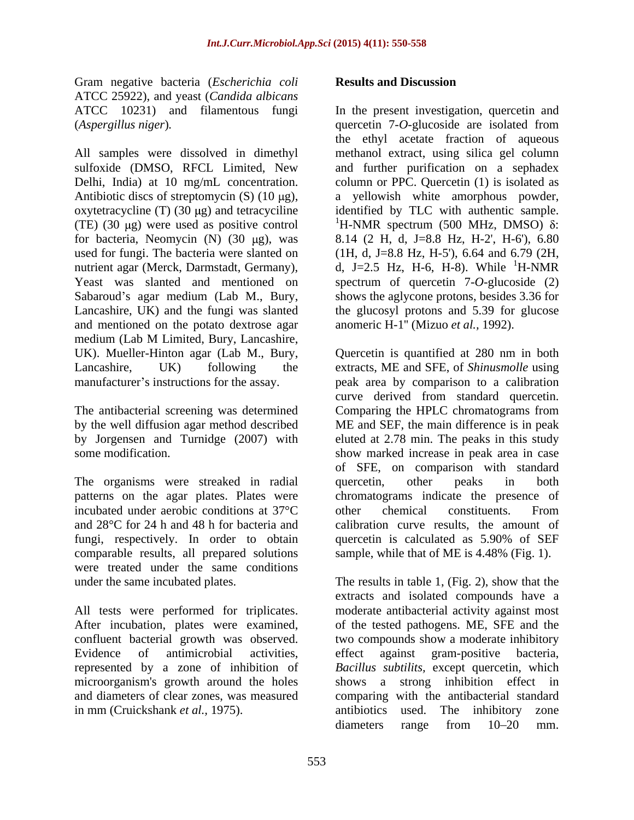Gram negative bacteria (*Escherichia coli* ATCC 25922), and yeast (*Candida albicans* (*Aspergillus niger*)*.* 

(TE) (30 µg) were used as positive control  $^1$ H-NMR spectrum (500 MHz, DMSO)  $\delta$ : and mentioned on the potato dextrose agar medium (Lab M Limited, Bury, Lancashire, Gram negative bastrain *Green-in* is consistent and the presset investigation, currential a ATCC 10231) and the steam in methods of the methods of the steam in the methods of the steam in the steam in the steam in the stea

by Jorgensen and Turnidge (2007) with

The organisms were streaked in radial quercetin, other peaks in both patterns on the agar plates. Plates were chromatograms indicate the presence of incubated under aerobic conditions at 37°C and 28°C for 24 h and 48 h for bacteria and calibration curve results, the amount of fungi, respectively. In order to obtain quercetin is calculated as 5.90% of SEF comparable results, all prepared solutions sample, while that of ME is 4.48% (Fig. 1). were treated under the same conditions

microorganism's growth around the holes

ATCC 10231) and filamentous fungi In the present investigation, quercetin and All samples were dissolved in dimethyl methanol extract, using silica gel column sulfoxide (DMSO, RFCL Limited, New and further purification on a sephadex Delhi, India) at 10 mg/mL concentration. column or PPC. Quercetin (1) is isolated as Antibiotic discs of streptomycin  $(S)$  (10  $\mu$ g), a yellowish white amorphous powder, oxytetracycline (T) (30  $\mu$ g) and tetracyciline identified by TLC with authentic sample. for bacteria, Neomycin (N) (30 μg), was 8.14 (2 H, d, J=8.8 Hz, H-2', H-6'), 6.80 used for fungi. The bacteria were slanted on  $(1H, d, J=8.8 \text{ Hz}, H=5)$ , 6.64 and 6.79 (2H, nutrient agar (Merck, Darmstadt, Germany), d, J=2.5 Hz, H-6, H-8). While <sup>1</sup>H-NMR Yeast was slanted and mentioned on spectrum of quercetin 7-*O*-glucoside (2) Sabaroud's agar medium (Lab M., Bury, shows the aglycone protons, besides 3.36 for Lancashire, UK) and the fungi was slanted the glucosyl protons and 5.39 for glucose quercetin 7-*O*-glucoside are isolated from the ethyl acetate fraction of aqueous a yellowish white amorphous powder, identified by TLC with authentic sample.<br><sup>1</sup>H-NMR spectrum (500 MHz, DMSO)  $\delta$ : anomeric H-1'' (Mizuo *et al.,* 1992).

UK). Mueller-Hinton agar (Lab M., Bury, Quercetin is quantified at 280 nm in both Lancashire, UK) following the extracts, ME and SFE, of *Shinusmolle* using manufacturer's instructions for the assay. The peak area by comparison to a calibration The antibacterial screening was determined Comparing the HPLC chromatograms from by the well diffusion agar method described ME and SEF, the main difference is in peak some modification. show marked increase in peak area in case curve derived from standard quercetin. eluted at 2.78 min. The peaks in this study of SFE, on comparison with standard quercetin, other peaks in both other chemical constituents. From quercetin is calculated as 5.90% of SEF sample, while that of ME is 4.48% (Fig. 1).

under the same incubated plates. The results in table 1, (Fig. 2), show that the All tests were performed for triplicates. moderate antibacterial activity against most After incubation, plates were examined, of the tested pathogens. ME, SFE and the confluent bacterial growth was observed. two compounds show a moderate inhibitory Evidence of antimicrobial activities, effect against gram-positive bacteria, represented by a zone of inhibition of *Bacillus subtilits,* except quercetin, which and diameters of clear zones, was measured comparing with the antibacterial standard extracts and isolated compounds have a effect against gram-positive bacteria, shows a strong inhibition effect in antibiotics used. The inhibitory zone diameters range from 10–20 mm.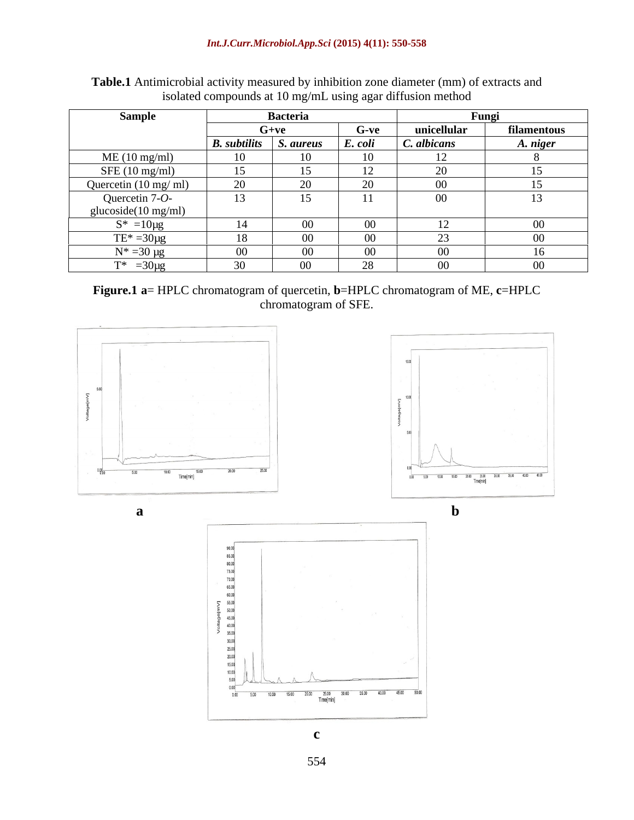| Sample                         | <b>Bacteria</b>             |               |         | Fungi                            |             |
|--------------------------------|-----------------------------|---------------|---------|----------------------------------|-------------|
|                                | $G+ve$                      |               | G-ve    | unicellular                      | filamentous |
|                                | <b>B.</b> subtilits         | . aureus      | E. coli | C. albicans                      | A. niger    |
| ME(10 mg/ml)                   | 10                          |               |         | $\sim$<br>⊥∠ ⊥                   |             |
| SFE(10 mg/ml)                  | 15                          |               |         | $\sim$ $\sim$<br>∠∪              |             |
| Quercetin $(10 \text{ mg/ml})$ | 20                          |               |         | $\sim$ $\sim$<br>00 <sup>°</sup> |             |
| Quercetin 7-O-                 | 13                          |               |         | $00\,$                           |             |
| glucoside(10 mg/ml)            |                             |               |         |                                  |             |
| $S^* = 10\mu g$                | 14                          |               | 00      | $\mathbf{1}$<br>$\perp$          | $00\,$      |
| $TE^* = 30 \mu g$              | 18                          |               | 00      | 23                               | $00\,$      |
| $N^* = 30 \mu g$               | $\Omega$<br>00 <sup>7</sup> | $\sim$ $\sim$ | 00      | $00\,$                           | I O         |
| $T^* = 30 \mu g$               | 30                          | ∩r            | 2Q      | $00\,$                           | $00\,$      |

**Table.1** Antimicrobial activity measured by inhibition zone diameter (mm) of extracts and isolated compounds at 10 mg/mL using agar diffusion method

**Figure.1 a**= HPLC chromatogram of quercetin, **b**=HPLC chromatogram of ME, **c**=HPLC chromatogram of SFE.



 $\frac{25.00}{Time(min]}$ 

 $30.00$  $3500$ 40.00 45.00

 $50.00$ 

 $000$ 

 $0.00$  $\overline{500}$ 10.00 15.00 20.00

554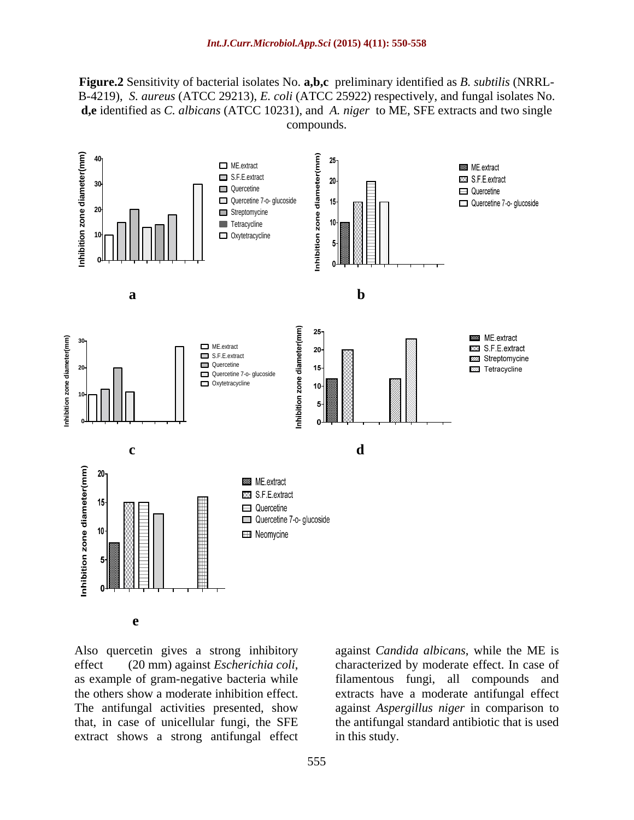**Figure.2** Sensitivity of bacterial isolates No. **a,b,c** preliminary identified as *B. subtilis* (NRRL- B-4219), *S. aureus* (ATCC 29213), *E. coli* (ATCC 25922) respectively, and fungal isolates No. **d,e** identified as *C. albicans* (ATCC 10231), and *A. niger* to ME, SFE extracts and two single compounds.



extract shows a strong antifungal effect in this study.

Also quercetin gives a strong inhibitory against *Candida albicans*, while the ME is effect (20 mm) against *Escherichia coli*, characterized by moderate effect. In case of as example of gram-negative bacteria while filamentous fungi, all compounds and the others show a moderate inhibition effect. extracts have a moderate antifungal effect The antifungal activities presented, show against *Aspergillus niger* in comparison to that, in case of unicellular fungi, the SFE the antifungal standard antibiotic that is used characterized by moderate effect. In case of filamentous fungi, all compounds and in this study.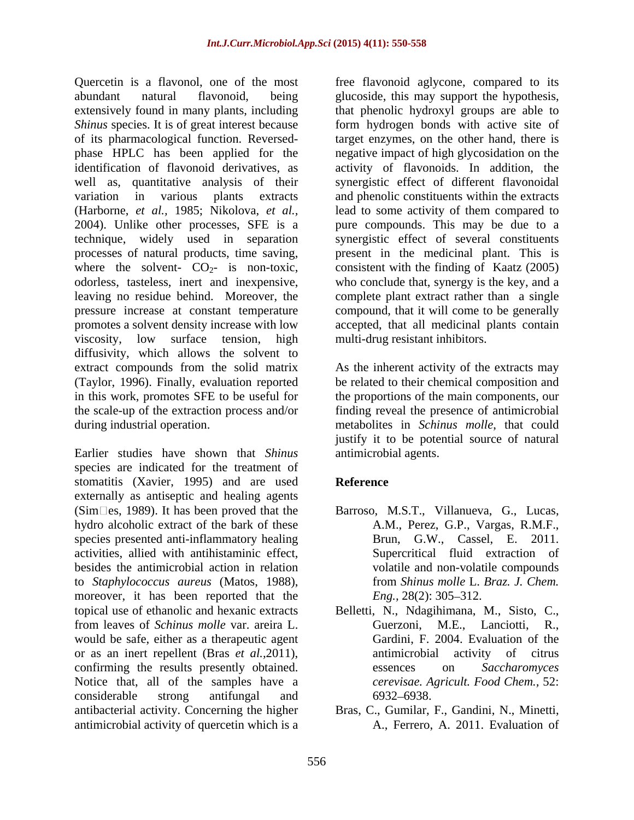Quercetin is a flavonol, one of the most free flavonoid aglycone, compared to its abundant natural flavonoid, being glucoside, this may support the hypothesis, extensively found in many plants, including that phenolic hydroxyl groups are able to *Shinus* species. It is of great interest because form hydrogen bonds with active site of of its pharmacological function. Reversed- target enzymes, on the other hand, there is phase HPLC has been applied for the negative impact of high glycosidation on the identification of flavonoid derivatives, as activity of flavonoids. In addition, the well as, quantitative analysis of their synergistic effect of different flavonoidal variation in various plants extracts and phenolic constituents within the extracts (Harborne, *et al.,* 1985; Nikolova, *et al.,* 2004). Unlike other processes, SFE is a pure compounds. This may be due to a technique, widely used in separation synergistic effect of several constituents processes of natural products, time saving, present in the medicinal plant. This is where the solvent-  $CO<sub>2</sub>$ - is non-toxic, odorless, tasteless, inert and inexpensive. odorless, tasteless, inert and inexpensive, who conclude that, synergy is the key, and a leaving no residue behind. Moreover, the complete plant extract rather than a single pressure increase at constant temperature compound, that it will come to be generally promotes a solvent density increase with low accepted, that all medicinal plants contain viscosity, low surface tension, high multi-drug resistant inhibitors. diffusivity, which allows the solvent to extract compounds from the solid matrix (Taylor, 1996). Finally, evaluation reported be related to their chemical composition and in this work, promotes SFE to be useful for the proportions of the main components, our the scale-up of the extraction process and/or finding reveal the presence of antimicrobial during industrial operation. metabolites in *Schinus molle*, that could

Earlier studies have shown that *Shinus* species are indicated for the treatment of stomatitis (Xavier, 1995) and are used **Reference** externally as antiseptic and healing agents  $(Sim \Box es, 1989)$ . It has been proved that the Barroso, M.S.T., Villanueva, G., Lucas, hydro alcoholic extract of the bark of these species presented anti-inflammatory healing activities, allied with antihistaminic effect, besides the antimicrobial action in relation to *Staphylococcus aureus* (Matos, 1988), moreover, it has been reported that the  $Eng., 28(2): 305-312.$ topical use of ethanolic and hexanic extracts Belletti, N., Ndagihimana, M., Sisto, C., from leaves of *Schinus molle* var. areira L. would be safe, either as a therapeutic agent or as an inert repellent (Bras *et al.,*2011), confirming the results presently obtained. essences on Saccharomyces Notice that, all of the samples have a considerable strong antifungal and antibacterial activity. Concerning the higher Bras, C., Gumilar, F., Gandini, N., Minetti, antimicrobial activity of quercetin which is a

lead to some activity of them compared to consistent with the finding of Kaatz (2005) multi-drug resistant inhibitors.

As the inherent activity of the extracts may justify it to be potential source of natural antimicrobial agents.

# **Reference**

- A.M., Perez, G.P., Vargas, R.M.F., Brun, G.W., Cassel, E. 2011. Supercritical fluid extraction of volatile and non-volatile compounds from *Shinus molle* L. *Braz. J. Chem. Eng.,* 28(2): 305–312.
- M.E., Lanciotti, Gardini, F. 2004. Evaluation of the antimicrobial activity of citrus essences on *Saccharomyces cerevisae. Agricult. Food Chem.,* 52: 6932 6938.
- A., Ferrero, A. 2011. Evaluation of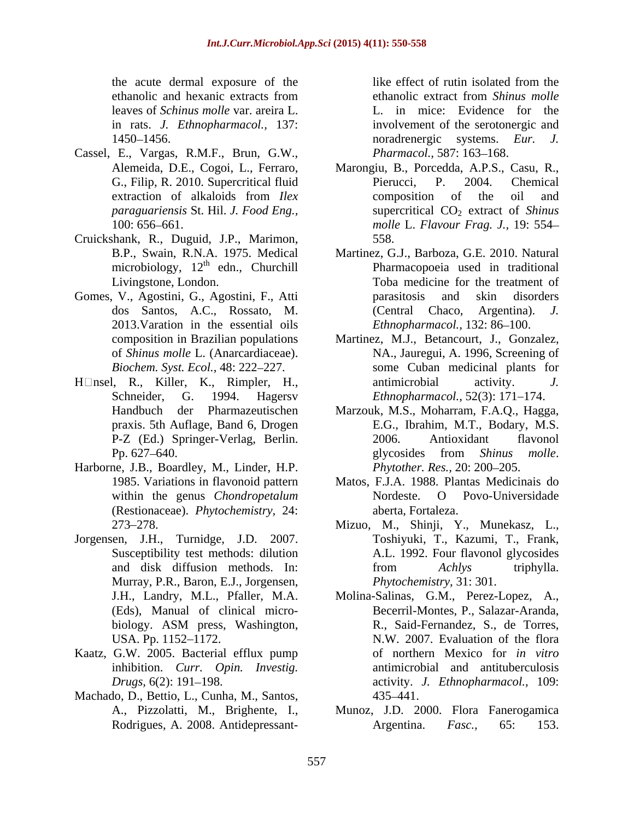- Cassel, E., Vargas, R.M.F., Brun, G.W.,
- Cruickshank, R., Duguid, J.P., Marimon, microbiology,  $12^{\text{th}}$  edn., Churchill<br>Livingstone, London.
- 2013.Varation in the essential oils
- 
- Harborne, J.B., Boardley, M., Linder, H.P. (Restionaceae). *Phytochemistry,* 24:
- Jorgensen, J.H., Turnidge, J.D. 2007. Murray, P.R., Baron, E.J., Jorgensen,
- Kaatz, G.W. 2005. Bacterial efflux pump
- Machado, D., Bettio, L., Cunha, M., Santos,

the acute dermal exposure of the ethanolic and hexanic extracts from ethanolic extract from *Shinus molle* leaves of *Schinus molle* var. areira L. L. in mice: Evidence for the in rats. *J. Ethnopharmacol.,* 137: involvement of the serotonergic and 1450 1456. noradrenergic systems. *Eur. J.* like effect of rutin isolated from the ethanolic extract from *Shinus molle* Pharmacol., 587: 163-168.

- Alemeida, D.E., Cogoi, L., Ferraro, Marongiu, B., Porcedda, A.P.S., Casu, R., G., Filip, R. 2010. Supercritical fluid Pierucci, P. 2004. Chemical extraction of alkaloids from *Ilex* composition of the oil and *paraguariensis* St. Hil. *J. Food Eng.*, supercritical CO<sub>2</sub> extract of *Shinus* 100: 656 661. *molle* L. *Flavour Frag. J.,* 19: 554 Pierucci, P. 2004. Chemical composition of the oil and 558.
- B.P., Swain, R.N.A. 1975. Medical Martinez, G.J., Barboza, G.E. 2010. Natural <sup>th</sup> edn., Churchill Pharmacopoeia used in traditional Livingstone, London. Toba medicine for the treatment of Gomes, V., Agostini, G., Agostini, F., Atti dos Santos, A.C., Rossato, M. parasitosis and skin disorders (Central Chaco, *Ethnopharmacol.,* 132: 86-100.
- composition in Brazilian populations Martinez, M.J., Betancourt, J., Gonzalez, of *Shinus molle* L. (Anarcardiaceae). NA., Jauregui, A. 1996, Screening of *Biochem. Syst. Ecol.,* 48: 222–227. Some Cuban medicinal plants for H $\Box$ nsel, R., Killer, K., Rimpler, H., antimicrobial activity. J. Schneider, G. 1994. Hagersv *Ethnopharmacol.,* 52(3): 171 174. antimicrobial activity. *J.* 
	- Handbuch der Pharmazeutischen Marzouk, M.S., Moharram, F.A.Q., Hagga, praxis. 5th Auflage, Band 6, Drogen E.G., Ibrahim, M.T., Bodary, M.S. P-Z (Ed.) Springer-Verlag, Berlin. 2006. Antioxidant flavonol Pp. 627–640. **Provident and Solution** electronic element of the subset of the subset of the subset of the subset of the subset of the subset of the subset of the subset of the subset of the subset of the subset of the subs 2006. Antioxidant flavonol glycosides from *Shinus molle*. *Phytother. Res., 20: 200-205.*
	- 1985. Variations in flavonoid pattern Matos, F.J.A. 1988. Plantas Medicinais do within the genus *Chondropetalum* Nordeste. O Povo-Universidade aberta, Fortaleza.
	- 273 278. Mizuo, M., Shinji, Y., Munekasz, L., Susceptibility test methods: dilution A.L. 1992. Four flavonol glycosides and disk diffusion methods. In: from  $Achlys$  triphylla. Toshiyuki, T., Kazumi, T., Frank, from *Achlys* triphylla. *Phytochemistry,* 31: 301.
	- J.H., Landry, M.L., Pfaller, M.A. Molina-Salinas, G.M., Perez-Lopez, A., (Eds), Manual of clinical micro- Becerril-Montes, P., Salazar-Aranda, biology. ASM press, Washington, USA. Pp. 1152–1172. M.W. 2007. Evaluation of the flora inhibition. *Curr. Opin. Investig.* antimicrobial and antituberculosis *Drugs,* 6(2): 191 198. activity. *J. Ethnopharmacol.,* 109: R., Said-Fernandez, S., de Torres, of northern Mexico for *in vitro* 435 441.
	- A., Pizzolatti, M., Brighente, I., Munoz, J.D. 2000. Flora Fanerogamica Rodrigues, A. 2008. Antidepressant-<br>
	Argentina. Fasc., 65: 153. Argentina. *Fasc.,* 65: 153.